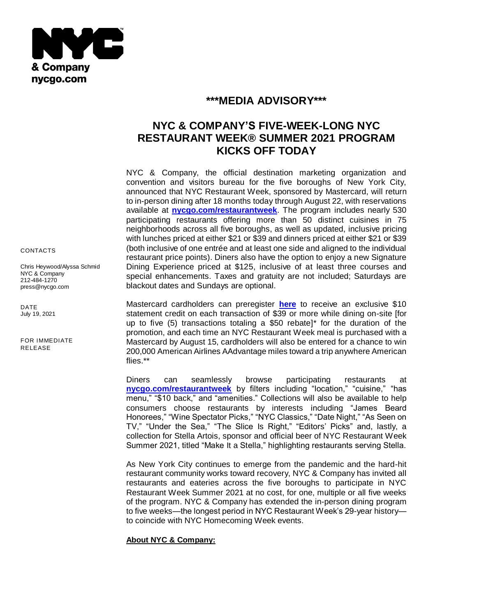

## **\*\*\*MEDIA ADVISORY\*\*\***

# **NYC & COMPANY'S FIVE-WEEK-LONG NYC RESTAURANT WEEK® SUMMER 2021 PROGRAM KICKS OFF TODAY**

NYC & Company, the official destination marketing organization and convention and visitors bureau for the five boroughs of New York City, announced that NYC Restaurant Week, sponsored by Mastercard, will return to in-person dining after 18 months today through August 22, with reservations available at **[nycgo.com/restaurantweek](http://www.nycgo.com/restaurantweek)**. The program includes nearly 530 participating restaurants offering more than 50 distinct cuisines in 75 neighborhoods across all five boroughs, as well as updated, inclusive pricing with lunches priced at either \$21 or \$39 and dinners priced at either \$21 or \$39 (both inclusive of one entrée and at least one side and aligned to the individual restaurant price points). Diners also have the option to enjoy a new Signature Dining Experience priced at \$125, inclusive of at least three courses and special enhancements. Taxes and gratuity are not included; Saturdays are blackout dates and Sundays are optional.

Mastercard cardholders can preregister **[here](https://dinewithmc.com/)** to receive an exclusive \$10 statement credit on each transaction of \$39 or more while dining on-site [for up to five (5) transactions totaling a \$50 rebate]\* for the duration of the promotion, and each time an NYC Restaurant Week meal is purchased with a Mastercard by August 15, cardholders will also be entered for a chance to win 200,000 American Airlines AAdvantage miles toward a trip anywhere American flies.\*\*

Diners can seamlessly browse participating restaurants at **[nycgo.com/restaurantweek](http://www.nycgo.com/restaurantweek)** by filters including "location," "cuisine," "has menu," "\$10 back," and "amenities." Collections will also be available to help consumers choose restaurants by interests including "James Beard Honorees," "Wine Spectator Picks," "NYC Classics," "Date Night," "As Seen on TV," "Under the Sea," "The Slice Is Right," "Editors' Picks" and, lastly, a collection for Stella Artois, sponsor and official beer of NYC Restaurant Week Summer 2021, titled "Make It a Stella," highlighting restaurants serving Stella.

As New York City continues to emerge from the pandemic and the hard-hit restaurant community works toward recovery, NYC & Company has invited all restaurants and eateries across the five boroughs to participate in NYC Restaurant Week Summer 2021 at no cost, for one, multiple or all five weeks of the program. NYC & Company has extended the in-person dining program to five weeks—the longest period in NYC Restaurant Week's 29-year history to coincide with NYC Homecoming Week events.

### **About NYC & Company:**

CONTACTS

Chris Heywood/Alyssa Schmid NYC & Company 212-484-1270 [press@nycgo.com](mailto:press@nycgo.com)

DATE July 19, 2021

FOR IMMEDIATE RELEASE